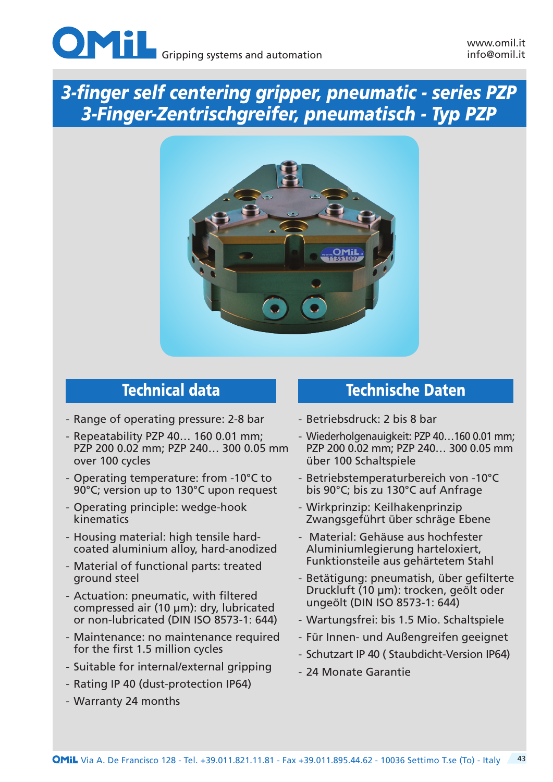



- Range of operating pressure: 2-8 bar
- Repeatability PZP 40… 160 0.01 mm; PZP 200 0.02 mm; PZP 240… 300 0.05 mm over 100 cycles
- Operating temperature: from -10°C to 90°C; version up to 130°C upon request
- Operating principle: wedge-hook kinematics
- Housing material: high tensile hardcoated aluminium alloy, hard-anodized
- Material of functional parts: treated ground steel
- Actuation: pneumatic, with filtered compressed air (10 µm): dry, lubricated or non-lubricated (DIN ISO 8573-1: 644)
- Maintenance: no maintenance required for the first 1.5 million cycles
- Suitable for internal/external gripping
- Rating IP 40 (dust-protection IP64)
- Warranty 24 months

## Technical data Technische Daten

- Betriebsdruck: 2 bis 8 bar
- Wiederholgenauigkeit: PZP 40…160 0.01 mm; PZP 200 0.02 mm; PZP 240… 300 0.05 mm über 100 Schaltspiele
- Betriebstemperaturbereich von -10°C bis 90°C; bis zu 130°C auf Anfrage
- Wirkprinzip: Keilhakenprinzip Zwangsgeführt über schräge Ebene
- Material: Gehäuse aus hochfester Aluminiumlegierung harteloxiert, Funktionsteile aus gehärtetem Stahl
- Betätigung: pneumatish, über gefilterte Druckluft (10 µm): trocken, geölt oder ungeölt (DIN ISO 8573-1: 644)
- Wartungsfrei: bis 1.5 Mio. Schaltspiele
- Für Innen- und Außengreifen geeignet
- Schutzart IP 40 ( Staubdicht-Version IP64)
- 24 Monate Garantie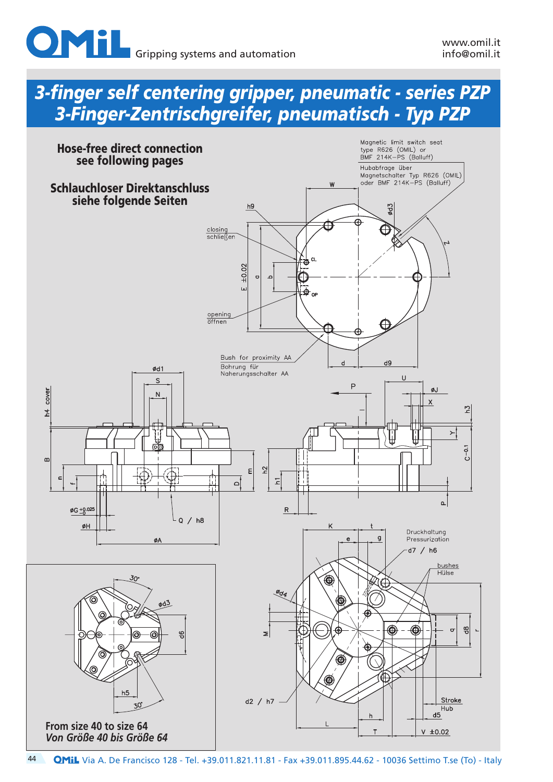

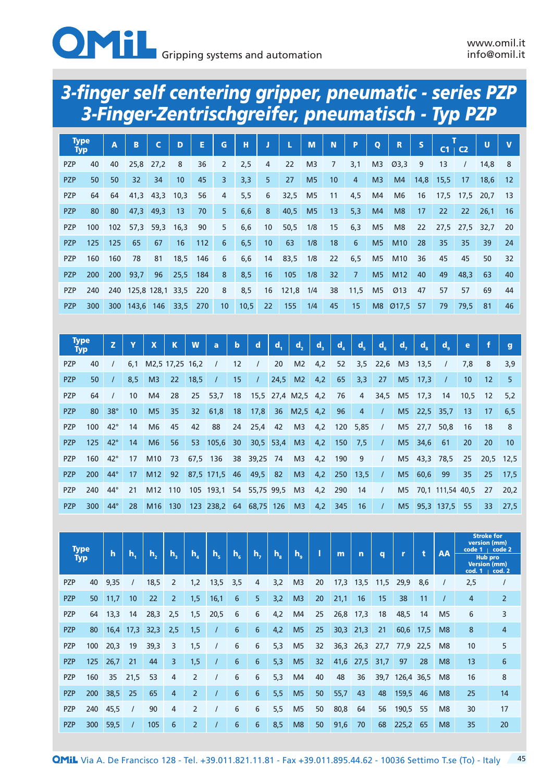

| <b>Type</b><br><b>Typ</b> |     | $\overline{A}$ | B     | C                | D                | E   | G              | н    |                 | L     | M              | N              | P              | $\mathbf{o}$   | R                  | S    | C1   | C <sub>2</sub> | U    | $\mathbf{V}$ |
|---------------------------|-----|----------------|-------|------------------|------------------|-----|----------------|------|-----------------|-------|----------------|----------------|----------------|----------------|--------------------|------|------|----------------|------|--------------|
| <b>PZP</b>                | 40  | 40             | 25,8  | 27,2             | 8                | 36  | $\overline{2}$ | 2,5  | 4               | 22    | M <sub>3</sub> | $\overline{7}$ | 3,1            | M <sub>3</sub> | Ø3,3               | 9    | 13   |                | 14,8 | 8            |
| <b>PZP</b>                | 50  | 50             | 32    | 34               | 10 <sup>10</sup> | 45  | 3              | 3,3  | 5               | 27    | M <sub>5</sub> | 10             | $\overline{4}$ | M <sub>3</sub> | M4                 | 14,8 | 15,5 | 17             | 18,6 | 12           |
| <b>PZP</b>                | 64  | 64             | 41,3  | 43,3             | 10,3             | 56  | $\overline{4}$ | 5,5  | 6               | 32,5  | M <sub>5</sub> | 11             | 4,5            | M4             | M <sub>6</sub>     | 16   | 17,5 | 17,5           | 20,7 | 13           |
| <b>PZP</b>                | 80  | 80             | 47,3  | 49,3             | 13               | 70  | 5 <sup>5</sup> | 6,6  | 8               | 40,5  | M <sub>5</sub> | 13             | 5,3            | M4             | M <sub>8</sub>     | 17   | 22   | 22             | 26,1 | 16           |
| <b>PZP</b>                | 100 | 102            | 57,3  | 59,3             | 16,3             | 90  | 5              | 6,6  | 10 <sup>1</sup> | 50,5  | 1/8            | 15             | 6,3            | M <sub>5</sub> | M <sub>8</sub>     | 22   | 27,5 | 27,5           | 32,7 | 20           |
| <b>PZP</b>                | 125 | 125            | 65    | 67               | 16               | 112 | 6              | 6, 5 | 10 <sup>1</sup> | 63    | 1/8            | 18             | 6              | M <sub>5</sub> | M10                | 28   | 35   | 35             | 39   | 24           |
| <b>PZP</b>                | 160 | 160            | 78    | 81               | 18,5             | 146 | 6              | 6,6  | 14              | 83,5  | 1/8            | 22             | 6, 5           | M <sub>5</sub> | M <sub>10</sub>    | 36   | 45   | 45             | 50   | 32           |
| <b>PZP</b>                | 200 | 200            | 93,7  | 96               | 25,5             | 184 | 8              | 8,5  | 16              | 105   | 1/8            | 32             | $\overline{7}$ | M <sub>5</sub> | M <sub>12</sub>    | 40   | 49   | 48,3           | 63   | 40           |
| <b>PZP</b>                | 240 | 240            |       | 125,8 128,1 33,5 |                  | 220 | 8              | 8,5  | 16              | 121,8 | 1/4            | 38             | 11,5           | M <sub>5</sub> | Ø13                | 47   | 57   | 57             | 69   | 44           |
| <b>PZP</b>                | 300 | 300            | 143,6 | 146              | 33,5             | 270 | 10             | 10,5 | 22              | 155   | 1/4            | 45             | 15             | M8             | $\varnothing$ 17,5 | 57   | 79   | 79,5           | 81   | 46           |

|            | <b>Type</b><br>Typ | Z            | Y   | $\mathbf x$                 | $\mathbf K$ | W               | a             | $\mathbf b$     | $\mathbf d$        | Q,          | d,             | $d_{\rm s}$ | $d_{\lambda}$ | $d_{\rm g}$    | $d_{\epsilon}$ | $d_{\rm s}$    | $d_{\rm s}$ | $d_{\circ}$      | e    | f                 | $\mathbf{q}$ |
|------------|--------------------|--------------|-----|-----------------------------|-------------|-----------------|---------------|-----------------|--------------------|-------------|----------------|-------------|---------------|----------------|----------------|----------------|-------------|------------------|------|-------------------|--------------|
| <b>PZP</b> | 40                 |              | 6.1 | M <sub>2.5</sub> 17.25 16.2 |             |                 |               | 12              | $\prime$           | 20          | M <sub>2</sub> | 4,2         | 52            | 3,5            | 22,6           | M <sub>3</sub> | 13,5        |                  | 7,8  | 8                 | 3,9          |
| <b>PZP</b> | 50                 |              | 8,5 | M <sub>3</sub>              | 22          | 18,5            |               | 15              | $\prime$           | 24,5        | M2             | 4,2         | 65            | 3,3            | 27             | M <sub>5</sub> | 17,3        |                  | 10   | $12 \overline{ }$ | 5            |
| <b>PZP</b> | 64                 |              | 10  | M4                          | 28          | 25              | 53,7          | 18              | 15,5 27,4 M2,5 4,2 |             |                |             | 76            | 4              | 34,5           | M <sub>5</sub> | 17,3        | 14               | 10,5 | $12 \overline{ }$ | 5,2          |
| <b>PZP</b> | 80                 | $38^\circ$   | 10  | M <sub>5</sub>              | 35          | 32 <sub>2</sub> | 61,8          | 18              | 17,8               |             | 36 M2,5 4,2    |             | 96            | $\overline{4}$ | $\prime$       |                | M5 22,5     | 35,7             | 13   | 17                | 6,5          |
| <b>PZP</b> | 100                | $42^{\circ}$ | 14  | M <sub>6</sub>              | 45          | 42              | 88            | 24              | 25,4               | 42          | M <sub>3</sub> | 4,2         | 120           | 5,85           | $\prime$       |                | M5 27,7     | 50,8             | 16   | 18                | 8            |
| <b>PZP</b> | 125                | $42^\circ$   | 14  | M <sub>6</sub>              | 56          | 53              | 105,6         | 30 <sup>°</sup> |                    | $30,5$ 53,4 | M3             | 4,2         | 150           | 7,5            | $\prime$       | M5             | 34,6        | 61               | 20   | <b>20</b>         | 10           |
| <b>PZP</b> | 160                | $42^\circ$   | 17  | M <sub>10</sub>             | 73          | 67,5            | 136           | 38              | 39,25              | 74          | M <sub>3</sub> | 4,2         | 190           | 9              | $\prime$       | M5             | 43,3        | 78,5             | 25   |                   | 20,5 12,5    |
| <b>PZP</b> | 200                | $44^\circ$   | 17  | M12                         | 92          |                 | 87,5 171,5 46 |                 | 49,5               | 82          | M <sub>3</sub> | 4,2         | 250           | 13,5           | $\prime$       |                | M5 60,6     | 99               | 35   | 25                | 17,5         |
| <b>PZP</b> | 240                | $44^\circ$   | 21  | M12                         | 110         |                 | 105 193,1     |                 | 54 55,75 99,5      |             | M <sub>3</sub> | 4,2         | 290           | 14             | $\prime$       | M5             |             | 70,1 111,54 40,5 |      | 27                | 20,2         |
| <b>PZP</b> | 300                | $44^\circ$   | 28  | M <sub>16</sub>             | 130         |                 | 123 238,2 64  |                 | 68,75              | 126         | M <sub>3</sub> | 4,2         | 345           | 16             | $\prime$       | M <sub>5</sub> |             | $95,3$ 137,5     | 55   | 33                | 27,5         |

|            | <b>Type</b> | $\mathbf h$     | h.   | h.,  | h,             | $h_{\scriptscriptstyle A}$ | $h_{s}$ | $h_{\epsilon}$ | h, | h.  | $h_{\alpha}$   |    | m    | $\mathbf n$ | q    | r     | t    | AA             | version (mm)                                    | <b>Stroke for</b><br>code $1 \mid \text{code 2}$ |
|------------|-------------|-----------------|------|------|----------------|----------------------------|---------|----------------|----|-----|----------------|----|------|-------------|------|-------|------|----------------|-------------------------------------------------|--------------------------------------------------|
|            | <b>Typ</b>  |                 |      |      |                |                            |         |                |    |     |                |    |      |             |      |       |      |                | <b>Hub pro</b><br><b>Version (mm)</b><br>cod. 1 | cod. 2                                           |
| <b>PZP</b> | 40          | 9,35            |      | 18,5 | 2              | 1,2                        | 13,5    | 3,5            | 4  | 3,2 | M <sub>3</sub> | 20 | 17,3 | 13,5        | 11,5 | 29,9  | 8,6  | $\prime$       | 2,5                                             |                                                  |
| <b>PZP</b> | 50          | 11,7            | 10   | 22   | $\overline{2}$ | 1,5                        | 16,1    | 6              | 5  | 3,2 | M <sub>3</sub> | 20 | 21,1 | 16          | 15   | 38    | 11   |                | 4                                               | 2                                                |
| PZP        | 64          | 13,3            | 14   | 28,3 | 2,5            | 1,5                        | 20,5    | 6              | 6  | 4,2 | M <sub>4</sub> | 25 | 26,8 | 17,3        | 18   | 48,5  | 14   | M <sub>5</sub> | 6                                               | 3                                                |
| <b>PZP</b> | 80          | 16,4            | 17,3 | 32,3 | 2,5            | 1,5                        |         | 6              | 6  | 4,2 | M <sub>5</sub> | 25 | 30,3 | 21,3        | 21   | 60,6  | 17,5 | M <sub>8</sub> | 8                                               | $\overline{4}$                                   |
| <b>PZP</b> | 100         | 20,3            | 19   | 39,3 | 3              | 1,5                        |         | 6              | 6  | 5,3 | M <sub>5</sub> | 32 | 36,3 | 26,3        | 27,7 | 77,9  | 22,5 | M <sub>8</sub> | 10                                              | 5                                                |
| <b>PZP</b> | 125         | 26,7            | 21   | 44   | 3              | 1,5                        |         | 6              | 6  | 5,3 | M <sub>5</sub> | 32 | 41,6 | 27,5        | 31,7 | 97    | 28   | M8             | 13                                              | 6                                                |
| <b>PZP</b> | 160         | 35 <sub>5</sub> | 21,5 | 53   | 4              | $\overline{2}$             |         | 6              | 6  | 5,3 | M <sub>4</sub> | 40 | 48   | 36          | 39,7 | 126,4 | 36,5 | M <sub>8</sub> | 16                                              | 8                                                |
| <b>PZP</b> | 200         | 38,5            | 25   | 65   | $\overline{4}$ | $\overline{2}$             |         | 6              | 6  | 5,5 | M <sub>5</sub> | 50 | 55,7 | 43          | 48   | 159,5 | 46   | M <sub>8</sub> | 25                                              | 14                                               |
| PZP        | 240         | 45,5            |      | 90   | 4              | $\overline{2}$             |         | 6              | 6  | 5,5 | M <sub>5</sub> | 50 | 80,8 | 64          | 56   | 190,5 | 55   | M <sub>8</sub> | 30                                              | 17                                               |
| <b>PZP</b> | 300         | 59,5            |      | 105  | 6              | $\overline{2}$             |         | 6              | 6  | 8,5 | M <sub>8</sub> | 50 | 91,6 | 70          | 68   | 225,2 | 65   | M <sub>8</sub> | 35                                              | 20                                               |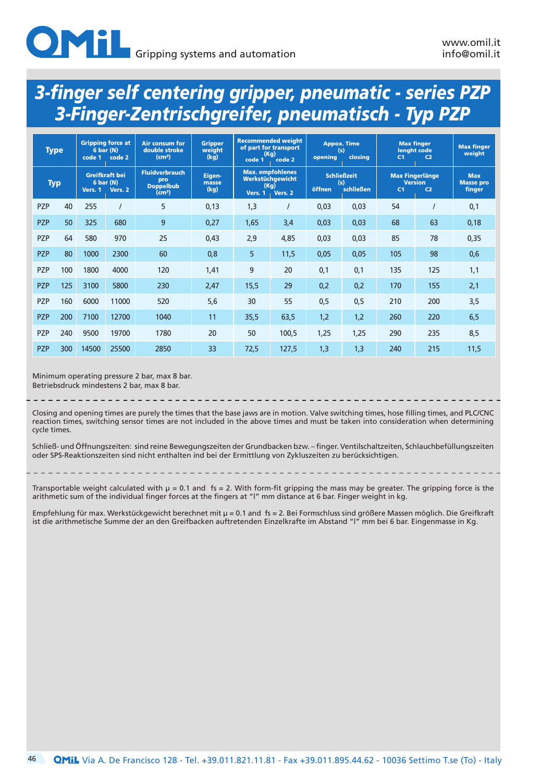| <b>Type</b> |     | code 1    | <b>Gripping force at</b><br>6 bar (N)<br>code 2 | <b>Air consum for</b><br>double stroke<br>(cm <sup>3</sup> )           | <b>Gripper</b><br>weight<br>(kg) | (Kg)<br>code 1  | <b>Recommended weight</b><br>of part for transport<br>code 2 | opening | <b>Appox. Time</b><br>(s)<br>closina   | lenght code<br>C <sub>1</sub>            | <b>Max finger</b><br>C <sub>2</sub> | <b>Max finger</b><br>weight              |
|-------------|-----|-----------|-------------------------------------------------|------------------------------------------------------------------------|----------------------------------|-----------------|--------------------------------------------------------------|---------|----------------------------------------|------------------------------------------|-------------------------------------|------------------------------------------|
| <b>Typ</b>  |     | 6 bar (N) | Greifkraft bei<br>Vers. 1 Vers. 2               | <b>Fluidverbrauch</b><br>pro<br><b>Doppelbub</b><br>(cm <sup>3</sup> ) | Eigen-<br>masse<br>(kg)          | (Kg)<br>Vers. 1 | <b>Max.</b> empfohlenes<br>Werkstüchgewicht<br>Vers. 2       | öffnen  | <b>Schließzeit</b><br>(s)<br>schließen | <b>Max Fingerlänge</b><br>C <sub>1</sub> | <b>Version</b><br>C <sub>2</sub>    | <b>Max</b><br><b>Masse pro</b><br>finger |
| PZP         | 40  | 255       |                                                 | 5                                                                      | 0,13                             | 1,3             |                                                              | 0,03    | 0,03                                   | 54                                       |                                     | 0,1                                      |
| <b>PZP</b>  | 50  | 325       | 680                                             | 9                                                                      | 0,27                             | 1,65            | 3,4                                                          | 0,03    | 0,03                                   | 68                                       | 63                                  | 0,18                                     |
| <b>PZP</b>  | 64  | 580       | 970                                             | 25                                                                     | 0,43                             | 2,9             | 4,85                                                         | 0,03    | 0,03                                   | 85                                       | 78                                  | 0,35                                     |
| <b>PZP</b>  | 80  | 1000      | 2300                                            | 60                                                                     | 0,8                              | 5               | 11,5                                                         | 0,05    | 0,05                                   | 105                                      | 98                                  | 0,6                                      |
| <b>PZP</b>  | 100 | 1800      | 4000                                            | 120                                                                    | 1,41                             | 9               | 20                                                           | 0,1     | 0,1                                    | 135                                      | 125                                 | 1,1                                      |
| <b>PZP</b>  | 125 | 3100      | 5800                                            | 230                                                                    | 2,47                             | 15,5            | 29                                                           | 0,2     | 0,2                                    | 170                                      | 155                                 | 2,1                                      |
| <b>PZP</b>  | 160 | 6000      | 11000                                           | 520                                                                    | 5,6                              | 30              | 55                                                           | 0,5     | 0,5                                    | 210                                      | 200                                 | 3,5                                      |
| <b>PZP</b>  | 200 | 7100      | 12700                                           | 1040                                                                   | 11                               | 35,5            | 63,5                                                         | 1,2     | 1,2                                    | 260                                      | 220                                 | 6,5                                      |
| <b>PZP</b>  | 240 | 9500      | 19700                                           | 1780                                                                   | 20                               | 50              | 100,5                                                        | 1,25    | 1,25                                   | 290                                      | 235                                 | 8,5                                      |
| <b>PZP</b>  | 300 | 14500     | 25500                                           | 2850                                                                   | 33                               | 72,5            | 127,5                                                        | 1,3     | 1,3                                    | 240                                      | 215                                 | 11,5                                     |

Minimum operating pressure 2 bar, max 8 bar. Betriebsdruck mindestens 2 bar, max 8 bar.

Closing and opening times are purely the times that the base jaws are in motion. Valve switching times, hose filling times, and PLC/CNC reaction times, switching sensor times are not included in the above times and must be taken into consideration when determining cycle times.

Schließ- und Öffnungszeiten: sind reine Bewegungszeiten der Grundbacken bzw. – finger. Ventilschaltzeiten, Schlauchbefüllungszeiten oder SPS-Reaktionszeiten sind nicht enthalten ind bei der Ermittlung von Zykluszeiten zu berücksichtigen.

Transportable weight calculated with µ = 0.1 and fs = 2. With form-fit gripping the mass may be greater. The gripping force is the arithmetic sum of the individual finger forces at the fingers at "l" mm distance at 6 bar. Finger weight in kg.

Empfehlung für max. Werkstückgewicht berechnet mit µ = 0.1 and fs = 2. Bei Formschluss sind größere Massen möglich. Die Greifkraft ist die arithmetische Summe der an den Greifbacken auftretenden Einzelkrafte im Abstand "l" mm bei 6 bar. Eingenmasse in Kg.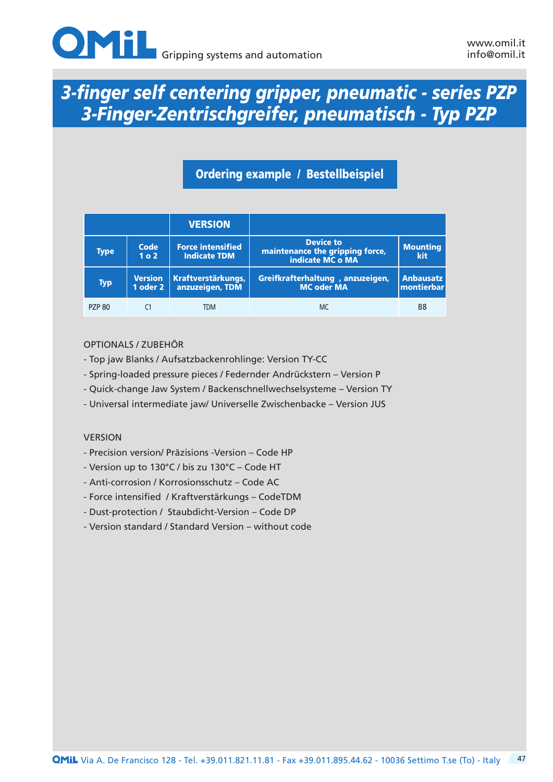

### Ordering example / Bestellbeispiel

|               |                            | <b>VERSION</b>                                  |                                                                         |                                                |
|---------------|----------------------------|-------------------------------------------------|-------------------------------------------------------------------------|------------------------------------------------|
| <b>Type</b>   | Code<br>1 <sub>0</sub> 2   | <b>Force intensified</b><br><b>Indicate TDM</b> | <b>Device to</b><br>maintenance the gripping force,<br>indicate MC o MA | <b>Mounting</b><br>kit                         |
| <b>Typ</b>    | <b>Version</b><br>1 oder 2 | <b>Kraftverstärkungs,</b><br>anzuzeigen, TDM    | Greifkrafterhaltung, anzuzeigen,<br><b>MC oder MA</b>                   | <b>Anbausatz</b><br>$\sf I$ montierbar $\sf I$ |
| <b>PZP 80</b> |                            | <b>TDM</b>                                      | <b>MC</b>                                                               | B8                                             |

#### OPTIONALS / ZUBEHÖR

- Top jaw Blanks / Aufsatzbackenrohlinge: Version TY-CC
- Spring-loaded pressure pieces / Federnder Andrückstern Version P
- Quick-change Jaw System / Backenschnellwechselsysteme Version TY
- Universal intermediate jaw/ Universelle Zwischenbacke Version JUS

#### VERSION

- Precision version/ Präzisions -Version Code HP
- Version up to 130°C / bis zu 130°C Code HT
- Anti-corrosion / Korrosionsschutz Code AC
- Force intensified / Kraftverstärkungs CodeTDM
- Dust-protection / Staubdicht-Version Code DP
- Version standard / Standard Version without code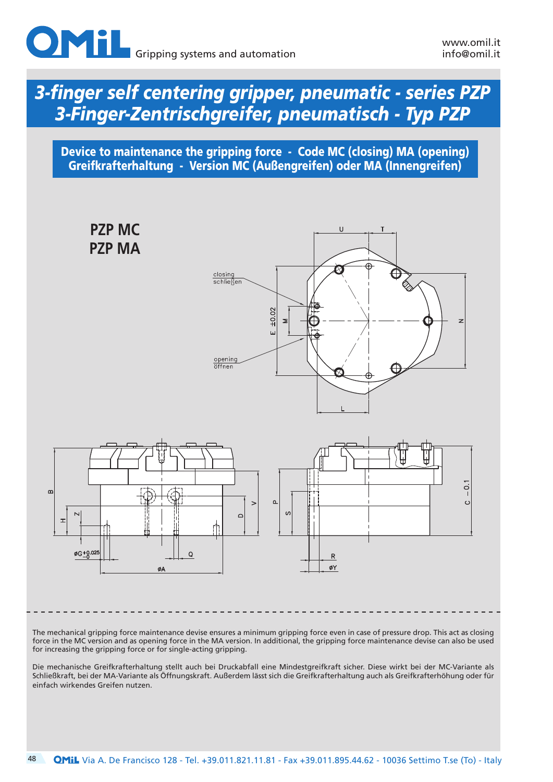

Device to maintenance the gripping force - Code MC (closing) MA (opening) Greifkrafterhaltung - Version MC (Außengreifen) oder MA (Innengreifen)



The mechanical gripping force maintenance devise ensures a minimum gripping force even in case of pressure drop. This act as closing force in the MC version and as opening force in the MA version. In additional, the gripping force maintenance devise can also be used for increasing the gripping force or for single-acting gripping.

Die mechanische Greifkrafterhaltung stellt auch bei Druckabfall eine Mindestgreifkraft sicher. Diese wirkt bei der MC-Variante als Schließkraft, bei der MA-Variante als Öffnungskraft. Außerdem lässt sich die Greifkrafterhaltung auch als Greifkrafterhöhung oder für einfach wirkendes Greifen nutzen.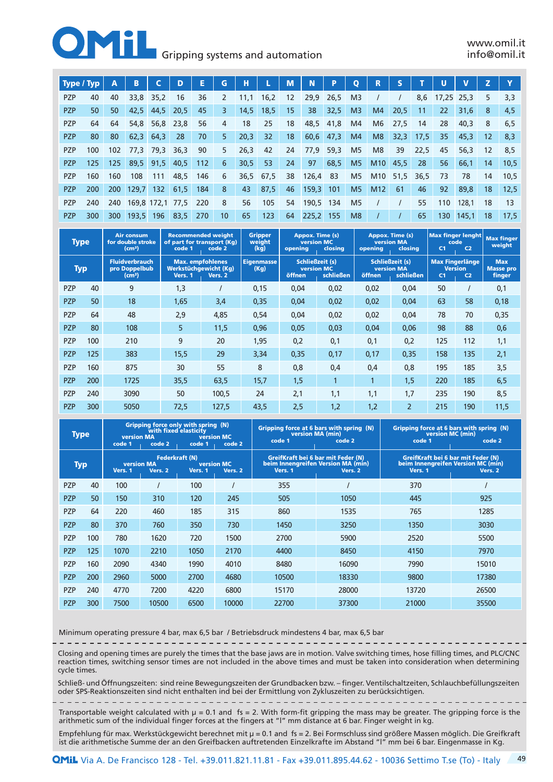#### **Gripping systems and automation**

| Type / Typ |            | Α                | В                    | C         | D    | E   | G  | н    |           | M               | N         | P.        | $\mathbf 0$    | R               | S    |             | U     |       | z  |      |
|------------|------------|------------------|----------------------|-----------|------|-----|----|------|-----------|-----------------|-----------|-----------|----------------|-----------------|------|-------------|-------|-------|----|------|
| <b>PZP</b> | 40         | 40               | 33,8                 | 35,2      | 16   | 36  | 2  | 11,1 | 16,2      | 12 <sup>2</sup> | 29,9      | 26,5      | M <sub>3</sub> |                 |      | 8,6         | 17,25 | 25,3  | 5  | 3,3  |
| <b>PZP</b> | 50         | 50               | 42,5                 | 44,5      | 20,5 | 45  | 3  | 14,5 | 18,5      | 15              | 38        | 32,5      | M <sub>3</sub> | M4              | 20,5 | -11         | 22    | 31,6  | 8  | 4,5  |
| <b>PZP</b> | 64         | 64               | 54.8                 | 56,8      | 23,8 | 56  | 4  | 18   | 25        | 18              | 48,5      | 41,8      | M4             | M <sub>6</sub>  | 27,5 | 14          | 28    | 40,3  | 8  | 6.5  |
| <b>PZP</b> | 80         | 80               | 62,3                 | 64,3      | 28   | 70  | 5  | 20,3 | 32        | 18              |           | 60,6 47,3 | M4             | M8              |      | $32,3$ 17,5 | 35    | 45,3  | 12 | 8,3  |
| <b>PZP</b> | 100        | 102 <sub>2</sub> | 77,3 79,3            |           | 36,3 | 90  | 5  | 26,3 | 42        | 24              | 77,9      | 59,3      | M <sub>5</sub> | M <sub>8</sub>  | 39   | 22,5        | 45    | 56.3  | 12 | 8.5  |
| <b>PZP</b> | 125.       | 125              |                      | 89,5 91,5 | 40,5 | 112 | 6  | 30,5 | 53        | 24              | 97        | 68,5      | M <sub>5</sub> | M10             | 45,5 | 28          | 56    | 66,1  | 14 | 10,5 |
| <b>PZP</b> | 160        | 160              | 108                  | 111       | 48,5 | 146 | 6  |      | 36.5 67.5 | 38              | 126,4     | -83       | M <sub>5</sub> | M <sub>10</sub> | 51,5 | 36,5        | - 73  | 78    | 14 | 10.5 |
| <b>PZP</b> | <b>200</b> | <b>200</b>       | $129,7$ 132          |           | 61,5 | 184 | 8  | 43   | 87,5      | 46              | 159,3     | 101       | M <sub>5</sub> | M <sub>12</sub> | -61  | 46          | 92    | 89,8  | 18 | 12,5 |
| <b>PZP</b> | 240        |                  | 240 169,8 172,1 77,5 |           |      | 220 | 8  | 56   | 105       | 54              | 190,5 134 |           | M <sub>5</sub> |                 |      | 55          | 110   | 128.1 | 18 | 13   |
| <b>PZP</b> | 300        | 300              | 193,5                | 196       | 83,5 | 270 | 10 | 65   | 123       | 64              | 225,2 155 |           | M <sub>8</sub> |                 |      | 65          | 130   | 145,1 | 18 | 17,5 |

| <b>Type</b> |     | <b>Air consum</b><br>for double stroke<br>(cm <sup>3</sup> ) | code 1  | <b>Recommended weight</b><br>of part for transport (Kg)<br>code 2 | <b>Gripper</b><br>weight<br>(kg) | <b>Appox. Time (s)</b><br><b>version MC</b><br>opening | closing   | opening | Appox. Time (s)<br><b>version MA</b><br>closing   | code<br>C <sub>1</sub> | <b>Max finger lenght</b><br>C <sub>2</sub>                 | <b>Max finger</b><br>weight                     |
|-------------|-----|--------------------------------------------------------------|---------|-------------------------------------------------------------------|----------------------------------|--------------------------------------------------------|-----------|---------|---------------------------------------------------|------------------------|------------------------------------------------------------|-------------------------------------------------|
| <b>Typ</b>  |     | <b>Fluidverbrauch</b><br>pro Doppelbub<br>(cm <sup>3</sup> ) | Vers. 1 | <b>Max.</b> empfohlenes<br>Werkstüchgewicht (Kg)<br>Vers. 2       | <b>Eigenmasse</b><br>(Kg)        | <b>Schließzeit (s)</b><br><b>version MC</b><br>öffnen  | schließen | öffnen  | Schließzeit (s)<br><b>version MA</b><br>schließen | C <sub>1</sub>         | <b>Max Fingerlänge</b><br><b>Version</b><br>C <sub>2</sub> | <b>Max</b><br><b>Masse pro</b><br><b>finger</b> |
| <b>PZP</b>  | 40  | 9                                                            | 1,3     |                                                                   | 0,15                             | 0,04                                                   | 0,02      | 0,02    | 0,04                                              | 50                     |                                                            | 0,1                                             |
| <b>PZP</b>  | 50  | 18                                                           | 1,65    | 3,4                                                               | 0,35                             | 0,04                                                   | 0,02      | 0,02    | 0,04                                              | 63                     | 58                                                         | 0,18                                            |
| <b>PZP</b>  | 64  | 48                                                           | 2,9     | 4,85                                                              | 0,54                             | 0,04                                                   | 0,02      | 0,02    | 0,04                                              | 78                     | 70                                                         | 0,35                                            |
| <b>PZP</b>  | 80  | 108                                                          | 5       | 11,5                                                              | 0,96                             | 0,05                                                   | 0,03      | 0,04    | 0,06                                              | 98                     | 88                                                         | 0,6                                             |
| <b>PZP</b>  | 100 | 210                                                          | 9       | 20                                                                | 1,95                             | 0,2                                                    | 0,1       | 0,1     | 0,2                                               | 125                    | 112                                                        | 1,1                                             |
| <b>PZP</b>  | 125 | 383                                                          | 15,5    | 29                                                                | 3,34                             | 0,35                                                   | 0,17      | 0,17    | 0,35                                              | 158                    | 135                                                        | 2,1                                             |
| <b>PZP</b>  | 160 | 875                                                          | 30      | 55                                                                | 8                                | 0,8                                                    | 0,4       | 0,4     | 0,8                                               | 195                    | 185                                                        | 3,5                                             |
| <b>PZP</b>  | 200 | 1725                                                         | 35,5    | 63,5                                                              | 15,7                             | 1,5                                                    |           |         | 1,5                                               | 220                    | 185                                                        | 6, 5                                            |
| PZP         | 240 | 3090                                                         | 50      | 100,5                                                             | 24                               | 2,1                                                    | 1,1       | 1,1     | 1,7                                               | 235                    | 190                                                        | 8,5                                             |
| <b>PZP</b>  | 300 | 5050                                                         | 72,5    | 127,5                                                             | 43,5                             | 2,5                                                    | 1,2       | 1,2     | $\overline{2}$                                    | 215                    | 190                                                        | 11,5                                            |

| <b>Type</b> |     | <b>version MA</b><br>code 1  | code 2                           | Gripping force only with spring (N)<br>with fixed elasticity<br>code 1 | version MC<br>code 2         | code 1  | Gripping force at 6 bars with spring (N)<br>version MA (min)<br>code 2              | code 1  | Gripping force at 6 bars with spring (N)<br>version MC (min)<br>code 2              |
|-------------|-----|------------------------------|----------------------------------|------------------------------------------------------------------------|------------------------------|---------|-------------------------------------------------------------------------------------|---------|-------------------------------------------------------------------------------------|
| <b>Typ</b>  |     | <b>version MA</b><br>Vers. 1 | <b>Federkraft (N)</b><br>Vers. 2 | Vers. 1                                                                | <b>version MC</b><br>Vers. 2 | Vers. 1 | GreifKraft bei 6 bar mit Feder (N)<br>beim Innengreifen Version MA (min)<br>Vers. 2 | Vers. 1 | GreifKraft bei 6 bar mit Feder (N)<br>beim Innengreifen Version MC (min)<br>Vers. 2 |
| <b>PZP</b>  | 40  | 100                          |                                  | 100                                                                    |                              | 355     |                                                                                     | 370     |                                                                                     |
| <b>PZP</b>  | 50  | 150                          | 310                              | 120                                                                    | 245                          | 505     | 1050                                                                                | 445     | 925                                                                                 |
| <b>PZP</b>  | 64  | 220                          | 460                              | 185                                                                    | 315                          | 860     | 1535                                                                                | 765     | 1285                                                                                |
| <b>PZP</b>  | 80  | 370                          | 760                              | 350                                                                    | 730                          | 1450    | 3250                                                                                | 1350    | 3030                                                                                |
| <b>PZP</b>  | 100 | 780                          | 1620                             | 720                                                                    | 1500                         | 2700    | 5900                                                                                | 2520    | 5500                                                                                |
| <b>PZP</b>  | 125 | 1070                         | 2210                             | 1050                                                                   | 2170                         | 4400    | 8450                                                                                | 4150    | 7970                                                                                |
| <b>PZP</b>  | 160 | 2090                         | 4340                             | 1990                                                                   | 4010                         | 8480    | 16090                                                                               | 7990    | 15010                                                                               |
| <b>PZP</b>  | 200 | 2960                         | 5000                             | 2700                                                                   | 4680                         | 10500   | 18330                                                                               | 9800    | 17380                                                                               |
| <b>PZP</b>  | 240 | 4770                         | 7200                             | 4220                                                                   | 6800                         | 15170   | 28000                                                                               | 13720   | 26500                                                                               |
| <b>PZP</b>  | 300 | 7500                         | 10500                            | 6500                                                                   | 10000                        | 22700   | 37300                                                                               | 21000   | 35500                                                                               |

Minimum operating pressure 4 bar, max 6,5 bar / Betriebsdruck mindestens 4 bar, max 6,5 bar

Closing and opening times are purely the times that the base jaws are in motion. Valve switching times, hose filling times, and PLC/CNC reaction times, switching sensor times are not included in the above times and must be taken into consideration when determining cycle times.

Schließ- und Öffnungszeiten: sind reine Bewegungszeiten der Grundbacken bzw. – finger. Ventilschaltzeiten, Schlauchbefüllungszeiten oder SPS-Reaktionszeiten sind nicht enthalten ind bei der Ermittlung von Zykluszeiten zu berücksichtigen.

Transportable weight calculated with µ = 0.1 and fs = 2. With form-fit gripping the mass may be greater. The gripping force is the arithmetic sum of the individual finger forces at the fingers at "l" mm distance at 6 bar. Finger weight in kg.

Empfehlung für max. Werkstückgewicht berechnet mit µ = 0.1 and fs = 2. Bei Formschluss sind größere Massen möglich. Die Greifkraft ist die arithmetische Summe der an den Greifbacken auftretenden Einzelkrafte im Abstand "l" mm bei 6 bar. Eingenmasse in Kg.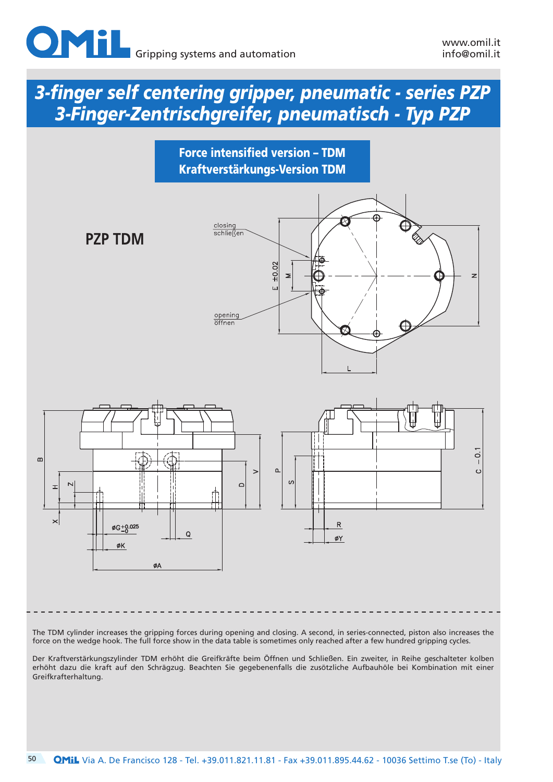





The TDM cylinder increases the gripping forces during opening and closing. A second, in series-connected, piston also increases the force on the wedge hook. The full force show in the data table is sometimes only reached after a few hundred gripping cycles.

Der Kraftverstärkungszylinder TDM erhöht die Greifkräfte beim Öffnen und Schließen. Ein zweiter, in Reihe geschalteter kolben erhöht dazu die kraft auf den Schrägzug. Beachten Sie gegebenenfalls die zusötzliche Aufbauhöle bei Kombination mit einer Greifkrafterhaltung.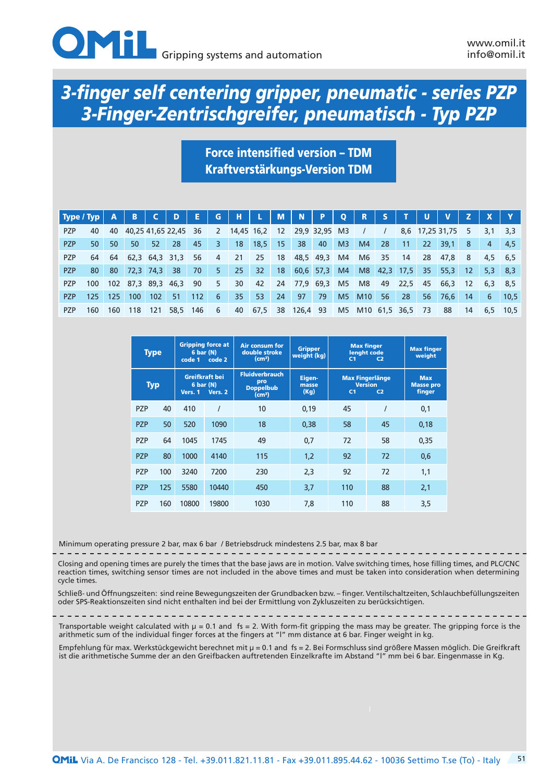

## Force intensified version – TDM Kraftverstärkungs-Version TDM

| $\vert$ Type / Typ $\vert$ A |     |     | <b>B</b>                |                  | <b>D</b> | - E - | $-$ G $-$      | - H I           | in Lin          | M <sub>1</sub> | $\blacksquare$  | $\blacksquare$ | $\bullet$      | R                | <b>S</b>                 |    | - U             |                 |       |         |             |
|------------------------------|-----|-----|-------------------------|------------------|----------|-------|----------------|-----------------|-----------------|----------------|-----------------|----------------|----------------|------------------|--------------------------|----|-----------------|-----------------|-------|---------|-------------|
| <b>PZP</b>                   | 40  |     | 40 40,25 41,65 22,45 36 |                  |          |       |                | 2 14,45 16,2 12 |                 |                | 29,9 32,95 M3   |                |                |                  | $\overline{\phantom{a}}$ |    |                 | 8,6 17,25 31,75 | 5     | 3,1     | 3.3         |
| <b>PZP</b>                   | 50  | 50  | 50                      | 52               | -28      | 45    | 3 <sub>1</sub> | 18 <sup>°</sup> | $18,5$ 15       |                | 38              | 40             | M <sub>3</sub> | M4               | 28                       | 11 | 22 <sup>2</sup> | 39,1            | -8    | 4       | -4.5        |
| <b>PZP</b>                   |     |     | 64 64 62,3 64,3 31,3    |                  |          | -56   | 4              | 21              | 25              | - 18           |                 | 48,5 49,3      | M4             | M6               | 35                       | 14 |                 | 28 47,8 8       |       | 4.5 6.5 |             |
| <b>PZP</b>                   | 80. | 80  | $72,3$ 74,3             |                  | 38       | 70    | 5 <sup>1</sup> | 25              | 32 <sub>2</sub> |                | 18 60,6 57,3 M4 |                |                |                  |                          |    | M8 42,3 17,5 35 | 55,3            | $-12$ |         | $5,3$ 8.3   |
| PZP                          | 100 |     | 102 87,3 89,3 46,3 90   |                  |          |       | 5              | 30              | 42              |                | 24 77,9 69,3 M5 |                |                | M8               |                          |    | 49 22,5 45 66,3 |                 | 12    |         | $6.3$ $8.5$ |
| <b>PZP</b>                   | 125 | 125 | 100 <sub>1</sub>        | 102 <sub>1</sub> | 51       | 112   | -6             | 35              | 53              | 24             | 97              | 79             | M <sub>5</sub> | M10              | 56                       | 28 | 56              | 76,6            | -14   | 6       | 10.5        |
| P7P                          | 160 | 160 | 118                     | 121              | 58.5 146 |       | 6              | 40              | 67,5            | 38             | 126,4 93        |                |                | M5 M10 61,5 36,5 |                          |    | - 73            | 88              | 14    | 6.5     | 10.5        |

| <b>Type</b> |     | code 1  | <b>Gripping force at</b><br>6 bar (N)<br>code 2 | <b>Air consum for</b><br>double stroke<br>(cm <sup>3</sup> )           | <b>Gripper</b><br>weight $(kg)$ | C <sub>1</sub> | <b>Max finger</b><br>lenght code<br>C <sub>2</sub>         | <b>Max finger</b><br>weight              |
|-------------|-----|---------|-------------------------------------------------|------------------------------------------------------------------------|---------------------------------|----------------|------------------------------------------------------------|------------------------------------------|
| <b>Typ</b>  |     | Vers. 1 | Greifkraft bei<br>6 bar (N)<br>Vers. 2          | <b>Fluidverbrauch</b><br>pro<br><b>Doppelbub</b><br>(cm <sup>3</sup> ) | Eigen-<br>masse<br>(Kg)         | C <sub>1</sub> | <b>Max Fingerlänge</b><br><b>Version</b><br>C <sub>2</sub> | <b>Max</b><br><b>Masse pro</b><br>finger |
| <b>PZP</b>  | 40  | 410     |                                                 | 10                                                                     | 0,19                            | 45             |                                                            | 0,1                                      |
| <b>PZP</b>  | 50  | 520     | 1090                                            | 18                                                                     | 0.38                            | 58             | 45                                                         | 0,18                                     |
| <b>PZP</b>  | 64  | 1045    | 1745                                            | 49                                                                     | 0,7                             | 72             | 58                                                         | 0,35                                     |
| <b>PZP</b>  | 80  | 1000    | 4140                                            | 115                                                                    | 1,2                             | 92             | 72                                                         | 0,6                                      |
| <b>PZP</b>  | 100 | 3240    | 7200                                            | 230                                                                    | 2,3                             | 92             | 72                                                         | 1,1                                      |
| <b>PZP</b>  | 125 | 5580    | 10440                                           | 450                                                                    | 3,7                             | 110            | 88                                                         | 2,1                                      |
| <b>PZP</b>  | 160 | 10800   | 19800                                           | 1030                                                                   | 7.8                             | 110            | 88                                                         | 3,5                                      |

Minimum operating pressure 2 bar, max 6 bar / Betriebsdruck mindestens 2.5 bar, max 8 bar

Closing and opening times are purely the times that the base jaws are in motion. Valve switching times, hose filling times, and PLC/CNC reaction times, switching sensor times are not included in the above times and must be taken into consideration when determining cycle times.

Schließ- und Öffnungszeiten: sind reine Bewegungszeiten der Grundbacken bzw. – finger. Ventilschaltzeiten, Schlauchbefüllungszeiten oder SPS-Reaktionszeiten sind nicht enthalten ind bei der Ermittlung von Zykluszeiten zu berücksichtigen.

Transportable weight calculated with µ = 0.1 and fs = 2. With form-fit gripping the mass may be greater. The gripping force is the arithmetic sum of the individual finger forces at the fingers at "l" mm distance at 6 bar. Finger weight in kg.

Empfehlung für max. Werkstückgewicht berechnet mit µ = 0.1 and fs = 2. Bei Formschluss sind größere Massen möglich. Die Greifkraft ist die arithmetische Summe der an den Greifbacken auftretenden Einzelkrafte im Abstand "l" mm bei 6 bar. Eingenmasse in Kg.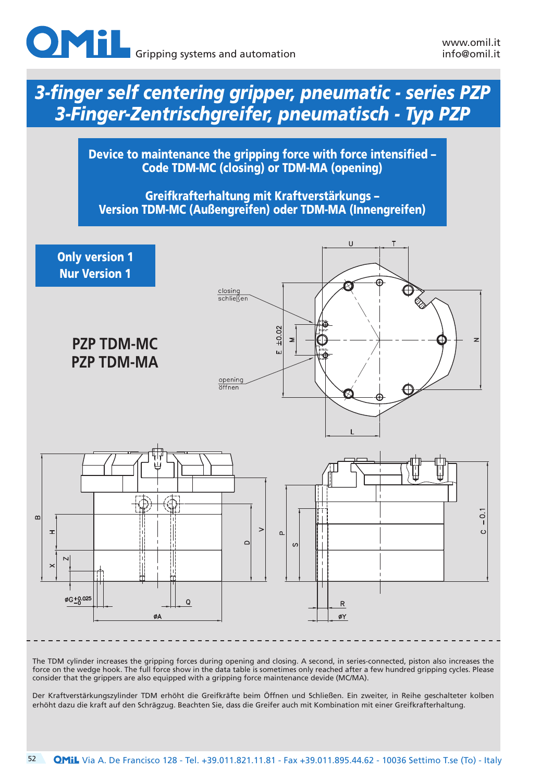

Device to maintenance the gripping force with force intensified – Code TDM-MC (closing) or TDM-MA (opening)

Greifkrafterhaltung mit Kraftverstärkungs – Version TDM-MC (Außengreifen) oder TDM-MA (Innengreifen)



Der Kraftverstärkungszylinder TDM erhöht die Greifkräfte beim Öffnen und Schließen. Ein zweiter, in Reihe geschalteter kolben erhöht dazu die kraft auf den Schrägzug. Beachten Sie, dass die Greifer auch mit Kombination mit einer Greifkrafterhaltung.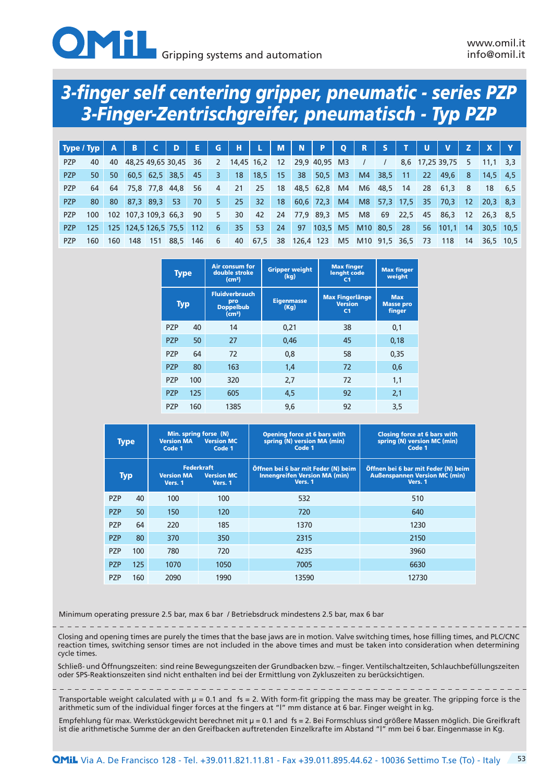

| $\mid$ Type / Typ $\mid$ A |      |     | <b>B</b>                     | $\mathsf{C}$ | <b>D</b> | <b>AEP</b> | G              | $H^{\pm}$    | <b>L</b> M      |             | N P       |                      | $Q$ R |                  | <b>S</b>                 | <b>TIP</b>  | <b>U</b>  |                 |     |            |             |
|----------------------------|------|-----|------------------------------|--------------|----------|------------|----------------|--------------|-----------------|-------------|-----------|----------------------|-------|------------------|--------------------------|-------------|-----------|-----------------|-----|------------|-------------|
| <b>PZP</b>                 | 40   |     | 40 48,25 49,65 30,45 36      |              |          |            |                | 2 14,45 16,2 |                 | 12          |           | 29,9 40,95 M3        |       |                  | $\overline{\phantom{a}}$ |             |           | 8,6 17,25 39,75 | 5   | 11.1       | 3.3         |
| <b>PZP</b>                 | 50   | 50  | 60,5 62,5 38,5               |              |          | 45         | 3 <sup>7</sup> | 18           | 18,5            | $\sqrt{15}$ | 38        | 50,5                 | M3    | M4               | 38,5                     | $-11$       | <b>22</b> | 49,6            | 8   | 14.5 4.5   |             |
| <b>PZP</b>                 | 64   |     | 64 75,8 77,8 44,8            |              |          | 56         | 4              | 21           | 25              | 18          |           | 48,5 62,8            | M4    |                  | M6 48,5                  | 14          | 28 61,3   |                 | 8   |            | $18 \t 6.5$ |
| <b>PZP</b>                 | 80.  | 80  | 87,3 89,3                    |              | - 53     | 70         | 5.             | 25           | 32 <sup>2</sup> |             |           | 18 60,6 72,3         | M4    | M8               |                          | $57,3$ 17,5 | -35       | 70,3            | -12 | $20.3$ 8.3 |             |
| <b>PZP</b>                 | 100  |     | 102 107,3 109,3 66,3         |              |          | 90         | 5              | 30           | 42              |             |           | 24 77,9 89,3 M5      |       | M8               |                          |             |           | 69 22,5 45 86,3 | 12  | 26.3 8.5   |             |
| <b>PZP</b>                 |      |     | 125 125 124,5 126,5 75,5 112 |              |          |            | 6              | 35           | 53              | 24          | 97        | 103,5 M5 M10 80,5 28 |       |                  |                          |             | 56        | $101,1$ 14      |     |            | $30.5$ 10.5 |
| <b>PZP</b>                 | 160. | 160 | 148                          | 151          | 88,5 146 |            | 6              | 40           | 67,5            | 38          | 126,4 123 |                      |       | M5 M10 91,5 36,5 |                          |             | -73       | 118             | 14  |            | 36.5 10.5   |

|                  | <b>Type</b> | Air consum for<br>double stroke<br>(cm <sup>3</sup> )                  | <b>Gripper weight</b><br>(kq) | <b>Max finger</b><br>lenght code<br>C <sub>1</sub>         | <b>Max finger</b><br>weight              |
|------------------|-------------|------------------------------------------------------------------------|-------------------------------|------------------------------------------------------------|------------------------------------------|
|                  | <b>Typ</b>  | <b>Fluidverbrauch</b><br>pro<br><b>Doppelbub</b><br>(cm <sup>3</sup> ) | <b>Eigenmasse</b><br>(Kq)     | <b>Max Fingerlänge</b><br><b>Version</b><br>C <sub>1</sub> | <b>Max</b><br><b>Masse pro</b><br>finger |
| <b>PZP</b>       | 40          | 14                                                                     | 0,21                          | 38                                                         | 0,1                                      |
| P7P              | 50          | 27                                                                     | 0,46                          | 45                                                         | 0,18                                     |
| P7P              | 64          | 72                                                                     | 0,8                           | 58                                                         | 0.35                                     |
| P <sub>7</sub> P | 80          | 163                                                                    | 1,4                           | 72                                                         | 0,6                                      |
| <b>PZP</b>       | 100         | 320                                                                    | 2,7                           | 72                                                         | 1,1                                      |
| <b>PZP</b>       | 125         | 605                                                                    | 4,5                           | 92                                                         | 2,1                                      |
| P7P              | 160         | 1385                                                                   | 9,6                           | 92                                                         | 3,5                                      |

| <b>Type</b> |     | Min. spring forse (N)<br><b>Version MA</b><br>Code 1 | <b>Version MC</b><br>Code 1                       | <b>Opening force at 6 bars with</b><br>spring (N) version MA (min)<br>Code 1           | <b>Closing force at 6 bars with</b><br>spring (N) version MC (min)<br>Code 1           |  |  |  |
|-------------|-----|------------------------------------------------------|---------------------------------------------------|----------------------------------------------------------------------------------------|----------------------------------------------------------------------------------------|--|--|--|
| <b>Typ</b>  |     | <b>Version MA</b><br>Vers. 1                         | <b>Federkraft</b><br><b>Version MC</b><br>Vers. 1 | Öffnen bei 6 bar mit Feder (N) beim<br><b>Innengreifen Version MA (min)</b><br>Vers. 1 | Öffnen bei 6 bar mit Feder (N) beim<br><b>Außenspannen Version MC (min)</b><br>Vers. 1 |  |  |  |
| <b>PZP</b>  | 40  | 100                                                  | 100                                               | 532                                                                                    | 510                                                                                    |  |  |  |
| <b>PZP</b>  | 50  | 150                                                  | 120                                               | 720                                                                                    | 640                                                                                    |  |  |  |
| <b>PZP</b>  | 64  | 220                                                  | 185                                               | 1370                                                                                   | 1230                                                                                   |  |  |  |
| <b>PZP</b>  | 80  | 370                                                  | 350                                               | 2315                                                                                   | 2150                                                                                   |  |  |  |
| <b>PZP</b>  | 100 | 780                                                  | 720                                               | 4235                                                                                   | 3960                                                                                   |  |  |  |
| <b>PZP</b>  | 125 | 1070                                                 | 1050                                              | 7005                                                                                   | 6630                                                                                   |  |  |  |
| <b>PZP</b>  | 160 | 2090<br>1990                                         |                                                   | 13590                                                                                  | 12730                                                                                  |  |  |  |

Minimum operating pressure 2.5 bar, max 6 bar / Betriebsdruck mindestens 2.5 bar, max 6 bar

Closing and opening times are purely the times that the base jaws are in motion. Valve switching times, hose filling times, and PLC/CNC reaction times, switching sensor times are not included in the above times and must be taken into consideration when determining cycle times.

Schließ- und Öffnungszeiten: sind reine Bewegungszeiten der Grundbacken bzw. – finger. Ventilschaltzeiten, Schlauchbefüllungszeiten oder SPS-Reaktionszeiten sind nicht enthalten ind bei der Ermittlung von Zykluszeiten zu berücksichtigen.

Transportable weight calculated with µ = 0.1 and fs = 2. With form-fit gripping the mass may be greater. The gripping force is the arithmetic sum of the individual finger forces at the fingers at "l" mm distance at 6 bar. Finger weight in kg.

Empfehlung für max. Werkstückgewicht berechnet mit µ = 0.1 and fs = 2. Bei Formschluss sind größere Massen möglich. Die Greifkraft ist die arithmetische Summe der an den Greifbacken auftretenden Einzelkrafte im Abstand "l" mm bei 6 bar. Eingenmasse in Kg.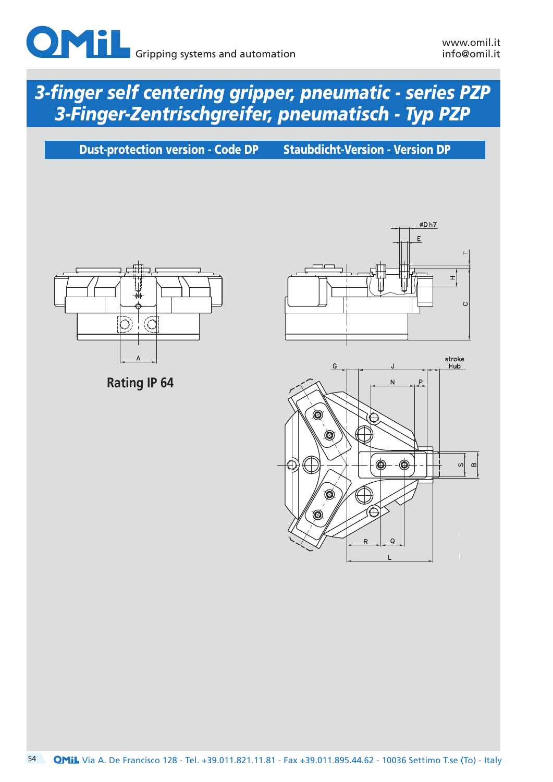

Dust-protection version - Code DP Staubdicht-Version - Version DP



**Rating IP 64**



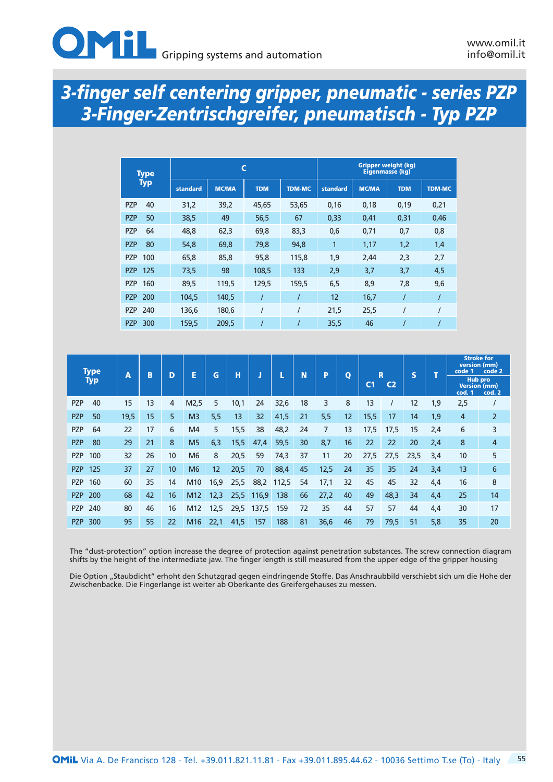| <b>Type</b>       |          |              | C          |               | <b>Gripper weight (kg)</b><br>Eigenmasse (kg) |              |            |               |  |  |
|-------------------|----------|--------------|------------|---------------|-----------------------------------------------|--------------|------------|---------------|--|--|
| <b>Typ</b>        | standard | <b>MC/MA</b> | <b>TDM</b> | <b>TDM-MC</b> | standard                                      | <b>MC/MA</b> | <b>TDM</b> | <b>TDM-MC</b> |  |  |
| 40<br><b>PZP</b>  | 31,2     | 39,2         | 45,65      | 53,65         | 0,16                                          | 0,18         | 0,19       | 0,21          |  |  |
| 50<br><b>PZP</b>  | 38,5     | 49           | 56,5       | 67            | 0,33                                          | 0,41         | 0,31       | 0,46          |  |  |
| <b>PZP</b><br>64  | 48,8     | 62,3         | 69,8       | 83,3          | 0,6                                           | 0,71         | 0,7        | 0,8           |  |  |
| <b>PZP</b><br>80  | 54,8     | 69,8         | 79,8       | 94,8          | $\mathbf{1}$                                  | 1,17         | 1,2        | 1,4           |  |  |
| 100<br><b>PZP</b> | 65,8     | 85,8         | 95,8       | 115,8         | 1,9                                           | 2,44         | 2,3        | 2,7           |  |  |
| 125<br><b>PZP</b> | 73,5     | 98           | 108,5      | 133           | 2,9                                           | 3,7          | 3,7        | 4,5           |  |  |
| 160<br><b>PZP</b> | 89,5     | 119,5        | 129,5      | 159,5         | 6,5                                           | 8,9          | 7,8        | 9,6           |  |  |
| 200<br><b>PZP</b> | 104,5    | 140,5        |            |               | 12                                            | 16,7         |            |               |  |  |
| 240<br><b>PZP</b> | 136,6    | 180,6        |            |               | 21,5                                          | 25,5         |            |               |  |  |
| 300<br><b>PZP</b> | 159,5    | 209,5        |            |               | 35,5                                          | 46           |            |               |  |  |

| <b>Type</b>       |      |    |    |                |      |      |       |       |    |      |              |                | R              |                         |     | <b>Stroke for</b><br>version (mm)<br>code 2<br>code 1 |                          |
|-------------------|------|----|----|----------------|------|------|-------|-------|----|------|--------------|----------------|----------------|-------------------------|-----|-------------------------------------------------------|--------------------------|
| <b>Typ</b>        | A    | B  | D  | E              | G    | н    | J     |       | N  | P    | $\mathbf{o}$ | C <sub>1</sub> | C <sub>2</sub> | $\overline{\mathbf{s}}$ |     | <b>Version (mm)</b><br>cod. 1                         | <b>Hub pro</b><br>cod. 2 |
| <b>PZP</b><br>40  | 15   | 13 | 4  | M2,5           | 5    | 10,1 | 24    | 32,6  | 18 | 3    | 8            | 13             |                | 12                      | 1,9 | 2,5                                                   |                          |
| <b>PZP</b><br>50  | 19,5 | 15 | 5  | M <sub>3</sub> | 5,5  | 13   | 32    | 41,5  | 21 | 5,5  | 12           | 15,5           | 17             | 14                      | 1,9 | 4                                                     | $\overline{2}$           |
| <b>PZP</b><br>64  | 22   | 17 | 6  | M <sub>4</sub> | 5    | 15,5 | 38    | 48,2  | 24 | 7    | 13           | 17,5           | 17,5           | 15                      | 2,4 | 6                                                     | 3                        |
| <b>PZP</b><br>80  | 29   | 21 | 8  | M <sub>5</sub> | 6,3  | 15,5 | 47,4  | 59,5  | 30 | 8,7  | 16           | 22             | 22             | 20                      | 2,4 | 8                                                     | 4                        |
| 100<br><b>PZP</b> | 32   | 26 | 10 | M <sub>6</sub> | 8    | 20,5 | 59    | 74,3  | 37 | 11   | 20           | 27,5           | 27,5           | 23,5                    | 3,4 | 10                                                    | 5                        |
| 125<br><b>PZP</b> | 37   | 27 | 10 | M <sub>6</sub> | 12   | 20,5 | 70    | 88,4  | 45 | 12,5 | 24           | 35             | 35             | 24                      | 3,4 | 13                                                    | 6                        |
| 160<br><b>PZP</b> | 60   | 35 | 14 | M10            | 16,9 | 25,5 | 88,2  | 112,5 | 54 | 17,1 | 32           | 45             | 45             | 32                      | 4,4 | 16                                                    | 8                        |
| 200<br><b>PZP</b> | 68   | 42 | 16 | M12            | 12,3 | 25,5 | 116,9 | 138   | 66 | 27,2 | 40           | 49             | 48,3           | 34                      | 4,4 | 25                                                    | 14                       |
| 240<br><b>PZP</b> | 80   | 46 | 16 | M12            | 12,5 | 29,5 | 137,5 | 159   | 72 | 35   | 44           | 57             | 57             | 44                      | 4,4 | 30                                                    | 17                       |
| 300<br><b>PZP</b> | 95   | 55 | 22 | M16            | 22,1 | 41,5 | 157   | 188   | 81 | 36,6 | 46           | 79             | 79,5           | 51                      | 5,8 | 35                                                    | 20                       |

The "dust-protection" option increase the degree of protection against penetration substances. The screw connection diagram shifts by the height of the intermediate jaw. The finger length is still measured from the upper edge of the gripper housing

Die Option "Staubdicht" erhoht den Schutzgrad gegen eindringende Stoffe. Das Anschraubbild verschiebt sich um die Hohe der Zwischenbacke. Die Fingerlange ist weiter ab Oberkante des Greifergehauses zu messen.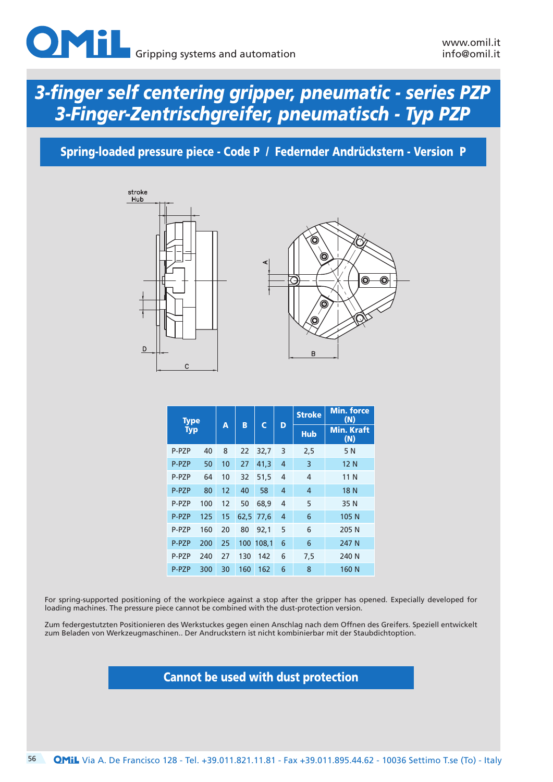

### Spring-loaded pressure piece - Code P / Federnder Andrückstern - Version P





| <b>Type</b> |     |    |      |           |                | <b>Stroke</b>  | <b>Min. force</b><br>(N) |  |  |
|-------------|-----|----|------|-----------|----------------|----------------|--------------------------|--|--|
| <b>Typ</b>  |     | A  | B    | C         | D              | <b>Hub</b>     | <b>Min. Kraft</b><br>(N) |  |  |
| P-PZP       | 40  | 8  | 22   | 32,7      | 3              | 2,5            | 5 N                      |  |  |
| P-PZP       | 50  | 10 | 27   | 41,3      | $\overline{4}$ | 3              | 12 N                     |  |  |
| P-PZP       | 64  | 10 | 32   | 51,5      | $\overline{4}$ | $\overline{4}$ | 11 N                     |  |  |
| P-PZP       | 80  | 12 | 40   | 58        | $\overline{4}$ | $\overline{4}$ | 18 N                     |  |  |
| P-PZP       | 100 | 12 | 50   | 68,9      | $\overline{4}$ | 5              | 35 N                     |  |  |
| P-PZP       | 125 | 15 | 62,5 | 77.6      | 4              | 6              | 105 N                    |  |  |
| P-PZP       | 160 | 20 | 80   | 92,1      | 5              | 6              | 205 N                    |  |  |
| P-PZP       | 200 | 25 |      | 100 108,1 | 6              | 6              | 247 N                    |  |  |
| P-PZP       | 240 | 27 | 130  | 142       | 6              | 7,5            | 240 N                    |  |  |
| P-PZP       | 300 | 30 | 160  | 162       | 6              | 8              | 160 N                    |  |  |

For spring-supported positioning of the workpiece against a stop after the gripper has opened. Expecially developed for loading machines. The pressure piece cannot be combined with the dust-protection version.

Zum federgestutzten Positionieren des Werkstuckes gegen einen Anschlag nach dem Offnen des Greifers. Speziell entwickelt zum Beladen von Werkzeugmaschinen.. Der Andruckstern ist nicht kombinierbar mit der Staubdichtoption.

#### Cannot be used with dust protection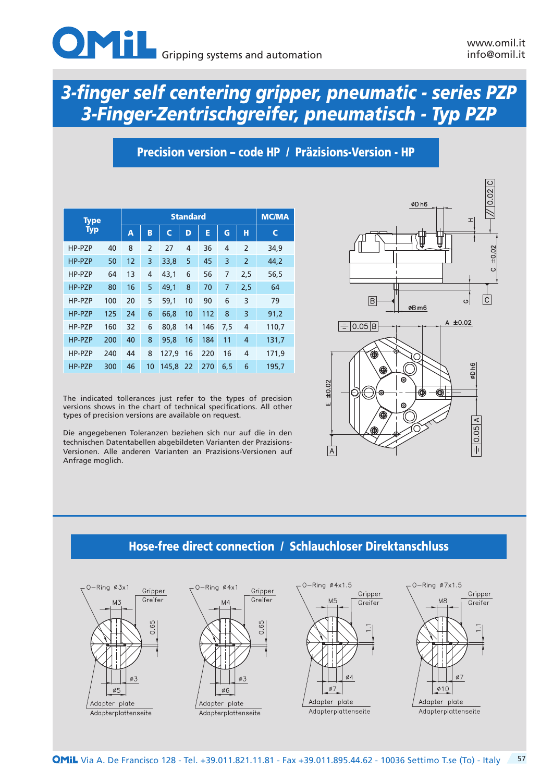## Precision version – code HP / Präzisions-Version - HP

| <b>Type</b> |     |    |                |       | <b>Standard</b> |     |     |                | <b>MC/MA</b> |  |  |
|-------------|-----|----|----------------|-------|-----------------|-----|-----|----------------|--------------|--|--|
| <b>Typ</b>  |     | A  | B              | C     | D               | E   | G   | н              | C            |  |  |
| HP-PZP      | 40  | 8  | $\overline{2}$ | 27    | 4               | 36  | 4   | $\overline{2}$ | 34,9         |  |  |
| HP-PZP      | 50  | 12 | 3              | 33,8  | 5               | 45  | 3   | $\overline{2}$ | 44,2         |  |  |
| HP-PZP      | 64  | 13 | 4              | 43,1  | 6               | 56  | 7   | 2,5            | 56,5         |  |  |
| HP-PZP      | 80  | 16 | 5              | 49,1  | 8               | 70  | 7   | 2,5            | 64           |  |  |
| HP-PZP      | 100 | 20 | 5              | 59.1  | 10              | 90  | 6   | 3              | 79           |  |  |
| HP-PZP      | 125 | 24 | 6              | 66,8  | 10              | 112 | 8   | 3              | 91,2         |  |  |
| HP-PZP      | 160 | 32 | 6              | 80,8  | 14              | 146 | 7,5 | 4              | 110,7        |  |  |
| HP-PZP      | 200 | 40 | 8              | 95.8  | 16              | 184 | 11  | 4              | 131,7        |  |  |
| HP-PZP      | 240 | 44 | 8              | 127.9 | 16              | 220 | 16  | 4              | 171,9        |  |  |
| HP-PZP      | 300 | 46 | 10             | 145.8 | 22              | 270 | 6,5 | 6              | 195,7        |  |  |

The indicated tollerances just refer to the types of precision versions shows in the chart of technical specifications. All other types of precision versions are available on request.

Die angegebenen Toleranzen beziehen sich nur auf die in den technischen Datentabellen abgebildeten Varianten der Prazisions-Versionen. Alle anderen Varianten an Prazisions-Versionen auf Anfrage moglich.



### Hose-free direct connection / Schlauchloser Direktanschluss

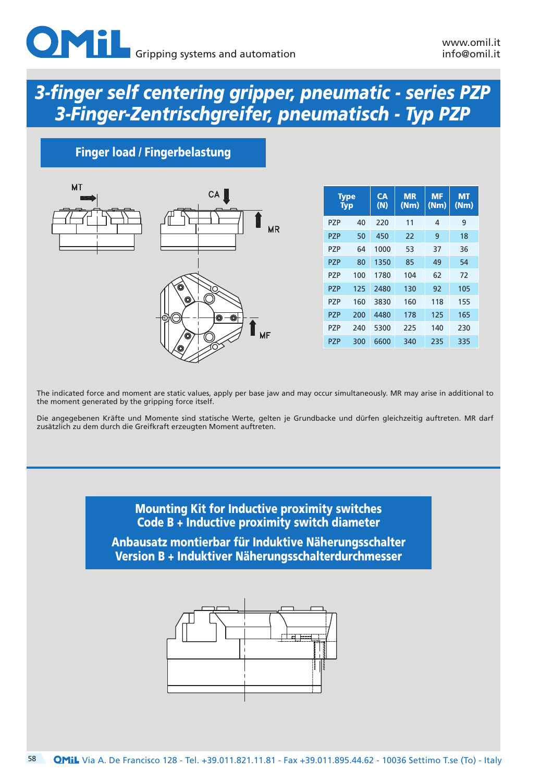## Finger load / Fingerbelastung



| <b>Type</b><br><b>Typ</b> |     | CA<br>(N) | <b>MR</b><br>(Nm) | <b>MF</b><br>(Nm) | <b>MT</b><br>(Nm) |
|---------------------------|-----|-----------|-------------------|-------------------|-------------------|
| P7P                       | 40  | 220       | 11                | 4                 | 9                 |
| P7P                       | 50  | 450       | 22                | 9                 | 18                |
| P7P                       | 64  | 1000      | 53                | 37                | 36                |
| P7P                       | 80  | 1350      | 85                | 49                | 54                |
| P7P                       | 100 | 1780      | 104               | 62                | 72                |
| P7P                       | 125 | 2480      | 130               | 92                | 105               |
| P7P                       | 160 | 3830      | 160               | 118               | 155               |
| P7P                       | 200 | 4480      | 178               | 125               | 165               |
| P7P                       | 240 | 5300      | 225               | 140               | 230               |
| P7P                       | 300 | 6600      | 340               | 235               | 335               |

The indicated force and moment are static values, apply per base jaw and may occur simultaneously. MR may arise in additional to the moment generated by the gripping force itself.

Die angegebenen Kräfte und Momente sind statische Werte, gelten je Grundbacke und dürfen gleichzeitig auftreten. MR darf zusätzlich zu dem durch die Greifkraft erzeugten Moment auftreten.

> Mounting Kit for Inductive proximity switches Code B + Inductive proximity switch diameter Anbausatz montierbar für Induktive Näherungsschalter Version B + Induktiver Näherungsschalterdurchmesser

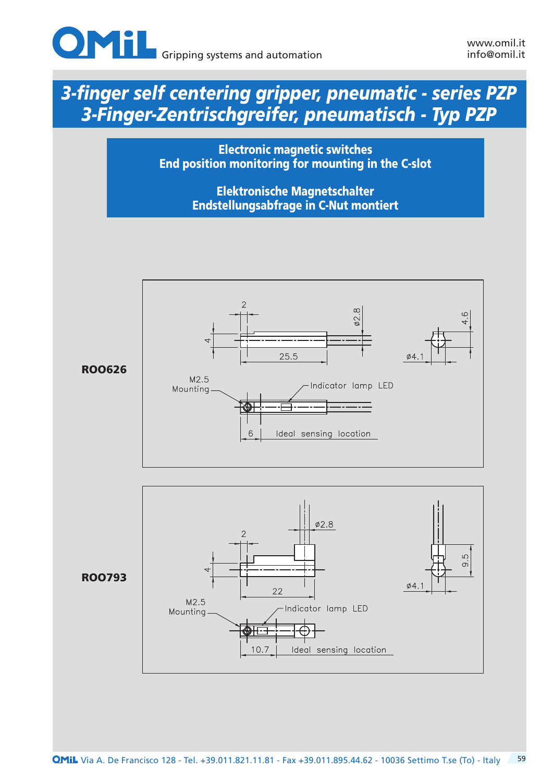

Electronic magnetic switches End position monitoring for mounting in the C-slot

> Elektronische Magnetschalter Endstellungsabfrage in C-Nut montiert

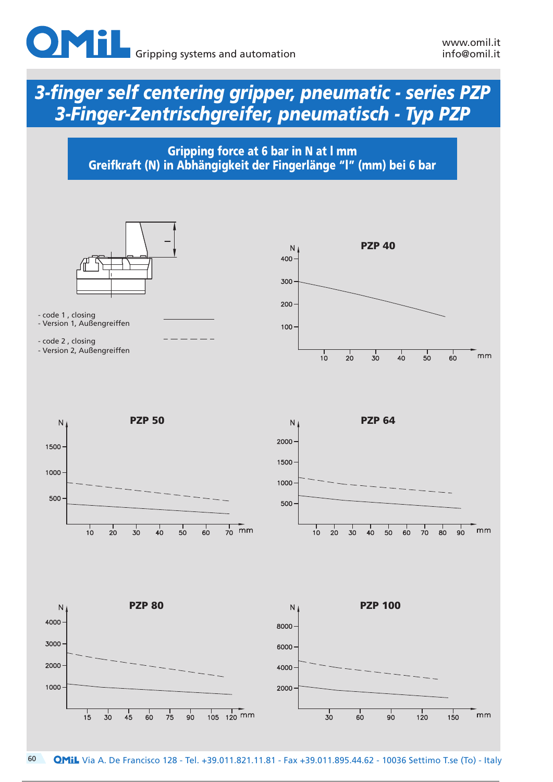

Gripping force at 6 bar in N at l mm Greifkraft (N) in Abhängigkeit der Fingerlänge "l" (mm) bei 6 bar

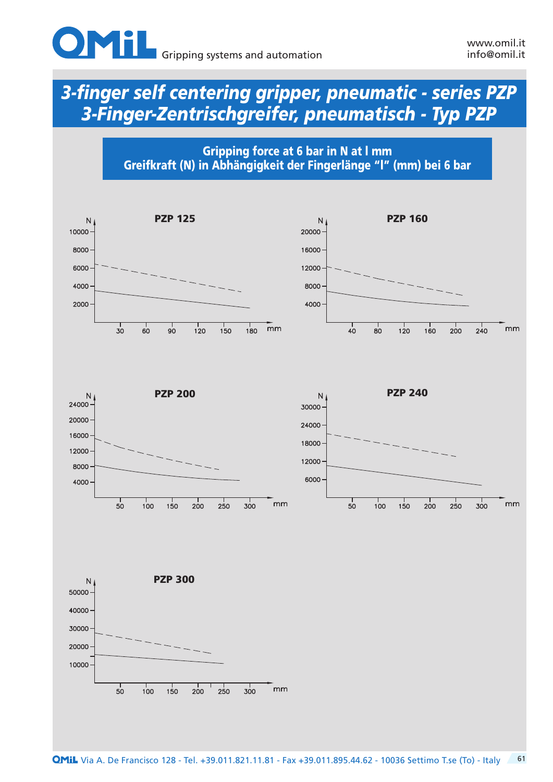

Gripping force at 6 bar in N at l mm Greifkraft (N) in Abhängigkeit der Fingerlänge "l" (mm) bei 6 bar

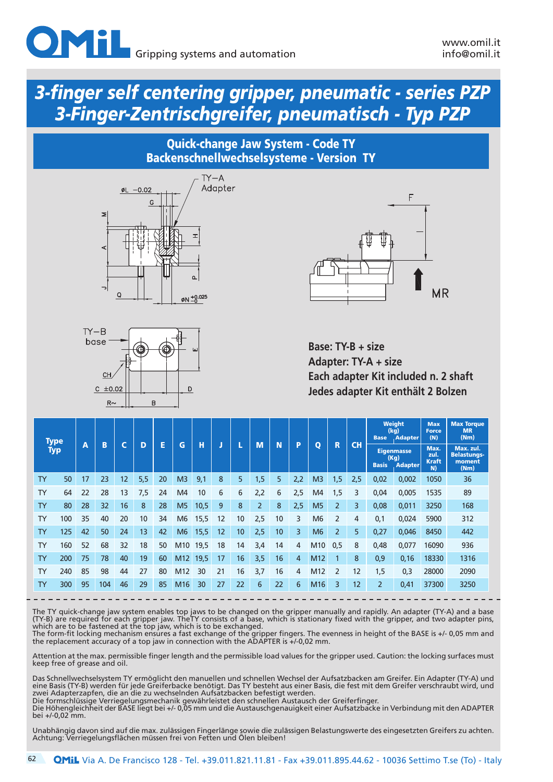### Quick-change Jaw System - Code TY Backenschnellwechselsysteme - Version TY







**Base: TY-B + size Adapter: TY-A + size Each adapter Kit included n. 2 shaft Jedes adapter Kit enthält 2 Bolzen**

| <b>Type</b> |            |    |     |    |     |    |                 |      |    |    |                |    |     |                 |                | <b>Base</b> | <b>Weight</b><br>(kg)<br>. Adapter                          | <b>Max</b><br><b>Force</b><br>(N) | <b>Max Torque</b><br><b>MR</b><br>(Nm) |                                                   |
|-------------|------------|----|-----|----|-----|----|-----------------|------|----|----|----------------|----|-----|-----------------|----------------|-------------|-------------------------------------------------------------|-----------------------------------|----------------------------------------|---------------------------------------------------|
|             | <b>Typ</b> | A  | B   | ∼  | D   | E  | G               | н    | J  |    | M              | N  | P   | $\mathbf{o}$    | R              | CH          | <b>Eigenmasse</b><br>(Kg)<br><b>Basis</b><br><b>Adapter</b> |                                   | Max.<br>zul.<br><b>Kraft</b><br>N)     | Max. zul.<br><b>Belastungs-</b><br>moment<br>(Nm) |
| <b>TY</b>   | 50         | 17 | 23  | 12 | 5,5 | 20 | M <sub>3</sub>  | 9,1  | 8  | 5  | 1,5'           | 5  | 2,2 | M <sub>3</sub>  | 1,5            | 2,5         | 0,02                                                        | 0,002                             | 1050                                   | 36                                                |
| <b>TY</b>   | 64         | 22 | 28  | 13 | 7,5 | 24 | M <sub>4</sub>  | 10   | 6  | 6  | 2,2            | 6  | 2,5 | M <sub>4</sub>  | 1,5            | 3           | 0,04                                                        | 0,005                             | 1535                                   | 89                                                |
| <b>TY</b>   | 80         | 28 | 32  | 16 | 8   | 28 | M <sub>5</sub>  | 10,5 | 9  | 8  | $\overline{2}$ | 8  | 2,5 | M <sub>5</sub>  | $\overline{2}$ | 3           | 0,08                                                        | 0,011                             | 3250                                   | 168                                               |
| <b>TY</b>   | 100        | 35 | 40  | 20 | 10  | 34 | M <sub>6</sub>  | 15,5 | 12 | 10 | 2,5            | 10 | 3   | M <sub>6</sub>  | $\overline{2}$ | 4           | 0,1                                                         | 0,024                             | 5900                                   | 312                                               |
| <b>TY</b>   | 125        | 42 | 50  | 24 | 13  | 42 | M <sub>6</sub>  | 15,5 | 12 | 10 | 2,5            | 10 | 3   | M6              | $\overline{2}$ | 5           | 0,27                                                        | 0,046                             | 8450                                   | 442                                               |
| <b>TY</b>   | 160        | 52 | 68  | 32 | 18  | 50 | M10             | 19,5 | 18 | 14 | 3,4            | 14 | 4   | M10             | 0,5            | 8           | 0,48                                                        | 0,077                             | 16090                                  | 936                                               |
| <b>TY</b>   | 200        | 75 | 78  | 40 | 19  | 60 | M <sub>12</sub> | 19,5 | 17 | 16 | 3,5            | 16 | 4   | M <sub>12</sub> |                | 8           | 0,9                                                         | 0,16                              | 18330                                  | 1316                                              |
| <b>TY</b>   | 240        | 85 | 98  | 44 | 27  | 80 | M <sub>12</sub> | 30   | 21 | 16 | 3,7            | 16 | 4   | M <sub>12</sub> | $\overline{2}$ | 12          | 1,5                                                         | 0,3                               | 28000                                  | 2090                                              |
| <b>TY</b>   | 300        | 95 | 104 | 46 | 29  | 85 | M <sub>16</sub> | 30   | 27 | 22 | 6              | 22 | 6   | M <sub>16</sub> | 3              | 12          | $\overline{2}$                                              | 0,41                              | 37300                                  | 3250                                              |

The TY quick-change jaw system enables top jaws to be changed on the gripper manually and rapidly. An adapter (TY-A) and a base (TY-B) are required for each gripper jaw. TheTY consists of a base, which is stationary fixed with the gripper, and two adapter pins, which are to be fastened at the top jaw, which is to be exchanged.

The form-fit locking mechanism ensures a fast exchange of the gripper fingers. The evenness in height of the BASE is +/- 0,05 mm and the replacement accuracy of a top jaw in connection with the ADAPTER is +/-0,02 mm.

Attention at the max. permissible finger length and the permissible load values for the gripper used. Caution: the locking surfaces must keep free of grease and oil.

Das Schnellwechselsystem TY ermöglicht den manuellen und schnellen Wechsel der Aufsatzbacken am Greifer. Ein Adapter (TY-A) und eine Basis (TY-B) werden für jede Greiferbacke benötigt. Das TY besteht aus einer Basis, die fest mit dem Greifer verschraubt wird, und zwei Adapterzapfen, die an die zu wechselnden Aufsatzbacken befestigt werden. Die formschlüssige Verriegelungsmechanik gewährleistet den schnellen Austausch der Greiferfinger.

Die Höhengleichheit der BASE liegt bei +/- 0,05 mm und die Austauschgenauigkeit einer Aufsatzbacke in Verbindung mit den ADAPTER bei +/-0,02 mm.

Unabhängig davon sind auf die max. zulässigen Fingerlänge sowie die zulässigen Belastungswerte des eingesetzten Greifers zu achten. Achtung: Verriegelungsflächen müssen frei von Fetten und Ölen bleiben!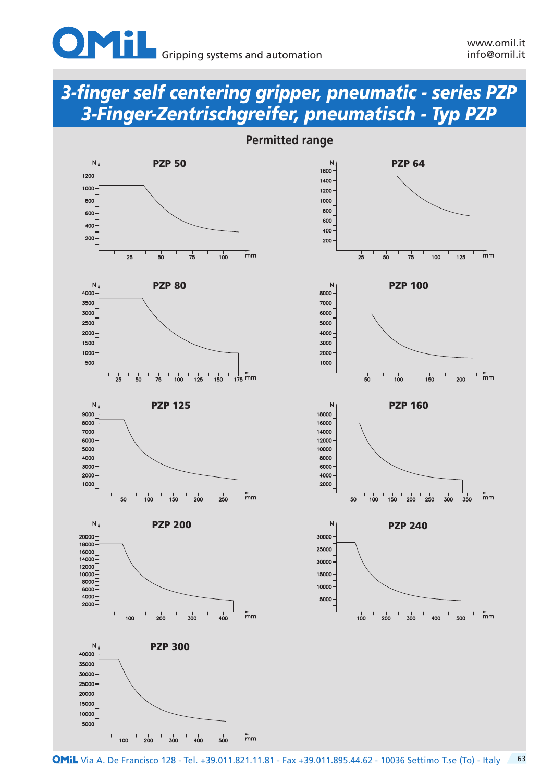



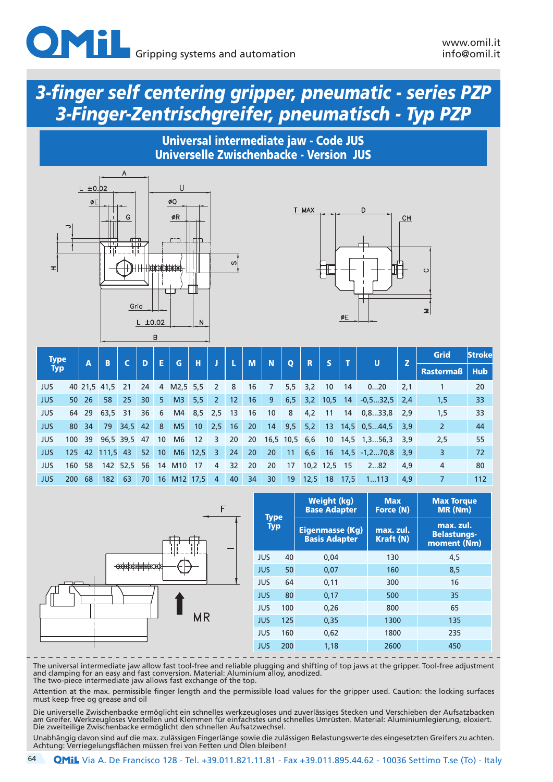

#### Universal intermediate jaw - Code JUS Universelle Zwischenbacke - Version JUS





| <b>Type</b> |     | B   |              | D           | E  | G               | н              |                   |                | M   | N  |               | R            |             |            | U    | z                    | <b>Grid</b> | <b>Strokel</b> |            |
|-------------|-----|-----|--------------|-------------|----|-----------------|----------------|-------------------|----------------|-----|----|---------------|--------------|-------------|------------|------|----------------------|-------------|----------------|------------|
| <b>Typ</b>  |     | A   |              |             |    |                 |                |                   | IJ             |     |    |               | $\mathbf{o}$ |             |            |      |                      |             | Rastermaß      | <b>Hub</b> |
| <b>JUS</b>  |     |     | 40 21.5 41.5 | 21          | 24 | $\overline{4}$  | M2,5 5,5       |                   | 2              | 8   | 16 | 7             |              | $5,5$ $3,2$ | 10         | 14   | 020                  | 2,1         |                | 20         |
| <b>JUS</b>  | 50  | 26  | 58           | 25          | 30 | 5               | M <sub>3</sub> | 5,5               | $\overline{2}$ | 12  | 16 | 9             | 6, 5         |             | $3,2$ 10,5 | 14   | $-0, 532, 5$ 2,4     |             | 1,5            | 33         |
| <b>JUS</b>  | 64  | 29  | 63,5         | - 31        | 36 | 6               | M4             | 8,5               | 2,5            | -13 | 16 | 10            | 8            | 4,2         | 11         | 14   | 0, 833, 8            | 2,9         | 1,5            | 33         |
| <b>JUS</b>  | 80  | 34  | 79           | 34,5        | 42 | 8               | M <sub>5</sub> | 10 <sup>°</sup>   | 2,5            | 16  | 20 | 14            | 9,5          | 5,2         | 13         |      | $14.5 \quad 0.544.5$ | 3,9         | $\overline{2}$ | 44         |
| <b>JUS</b>  | 100 | -39 |              | 96,5 39,5   | 47 | 10              | M <sub>6</sub> | $12 \overline{ }$ | 3              | 20  | 20 | 16,5 10,5 6,6 |              |             | 10         |      | 14,5 1,356,3         | 3,9         | 2,5            | 55         |
| <b>JUS</b>  | 125 | 42  | $111,5$ 43   |             | 52 | 10 <sup>1</sup> |                | $M6$ 12,5         | $\overline{3}$ | 24  | 20 | 20            | 11           | 6,6         | 16         |      | $14,5 -1,270,8$ 3,9  |             | 3              | 72         |
| JUS         | 160 | 58  |              | 142 52,5 56 |    | 14              | M10            | 17                | 4              | 32  | 20 | 20            | 17           |             | 10,2 12,5  | - 15 | 282                  | 4,9         | $\overline{4}$ | 80         |
| JUS         | 200 | 68  | 182          | 63          | 70 |                 | 16 M12 17,5    |                   | $\overline{4}$ | 40  | 34 | 30            | 19           | 12,5        | 18         | 17.5 | 1113                 | 4,9         |                | 112        |



|                           |     | <b>Weight (kg)</b><br><b>Base Adapter</b>      | <b>Max</b><br><b>Force (N)</b> | <b>Max Torque</b><br><b>MR (Nm)</b>            |  |  |  |
|---------------------------|-----|------------------------------------------------|--------------------------------|------------------------------------------------|--|--|--|
| <b>Type</b><br><b>Typ</b> |     | <b>Eigenmasse (Kg)</b><br><b>Basis Adapter</b> | max. zul.<br><b>Kraft (N)</b>  | max. zul.<br><b>Belastungs-</b><br>moment (Nm) |  |  |  |
| <b>JUS</b>                | 40  | 0.04                                           | 130                            | 4.5                                            |  |  |  |
| <b>JUS</b>                | 50  | 0,07                                           | 160                            | 8.5                                            |  |  |  |
| <b>JUS</b>                | 64  | 0,11                                           | 300                            | 16                                             |  |  |  |
| <b>JUS</b>                | 80  | 0,17                                           | 500                            | 35                                             |  |  |  |
| <b>JUS</b>                | 100 | 0,26                                           | 800                            | 65                                             |  |  |  |
| <b>JUS</b>                | 125 | 0,35                                           | 1300                           | 135                                            |  |  |  |
| <b>JUS</b>                | 160 | 0,62                                           | 1800                           | 235                                            |  |  |  |
| <b>JUS</b>                | 200 | 1,18                                           | 2600                           | 450                                            |  |  |  |

The universal intermediate jaw allow fast tool-free and reliable plugging and shifting of top jaws at the gripper. Tool-free adjustment and clamping for an easy and fast conversion. Material: Aluminium alloy, anodized. The two-piece intermediate jaw allows fast exchange of the top.

Attention at the max. permissible finger length and the permissible load values for the gripper used. Caution: the locking surfaces must keep free og grease and oil

Die universelle Zwischenbacke ermöglicht ein schnelles werkzeugloses und zuverlässiges Stecken und Verschieben der Aufsatzbacken am Greifer. Werkzeugloses Verstellen und Klemmen für einfachstes und schnelles Umrüsten. Material: Aluminiumlegierung, eloxiert. Die zweiteilige Zwischenbacke ermöglicht den schnellen Aufsatzwechsel.

Unabhängig davon sind auf die max. zulässigen Fingerlänge sowie die zulässigen Belastungswerte des eingesetzten Greifers zu achten. Achtung: Verriegelungsflächen müssen frei von Fetten und Ölen bleiben!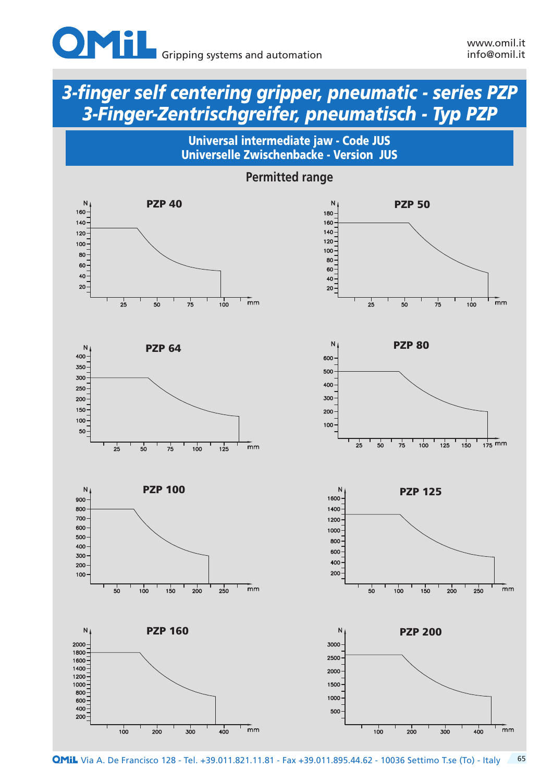



**PZP 40** N 160  $140$  $120 -$ 100 80 60 40  $20 \frac{1}{\text{mm}}$  $7^{1}_{5}$  $2<sup>1</sup>$  $50$  $100$